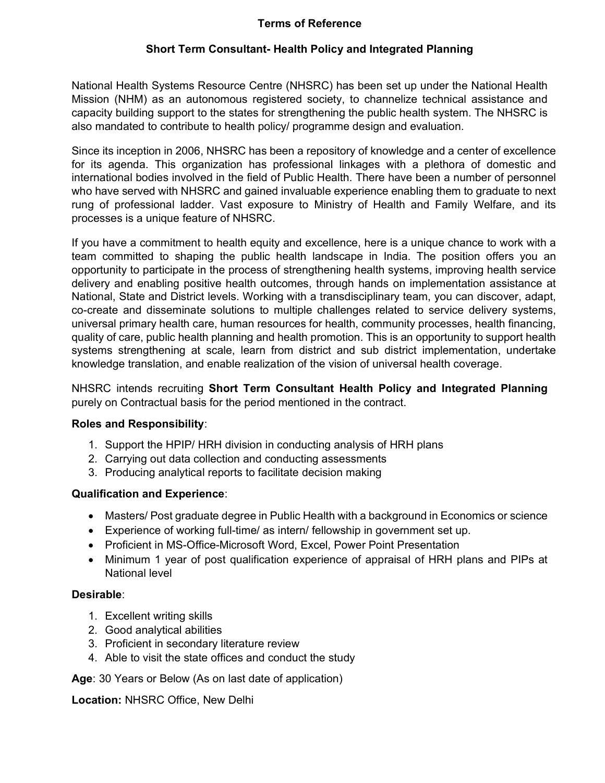### Terms of Reference

## Short Term Consultant- Health Policy and Integrated Planning

National Health Systems Resource Centre (NHSRC) has been set up under the National Health Mission (NHM) as an autonomous registered society, to channelize technical assistance and capacity building support to the states for strengthening the public health system. The NHSRC is also mandated to contribute to health policy/ programme design and evaluation.

Since its inception in 2006, NHSRC has been a repository of knowledge and a center of excellence for its agenda. This organization has professional linkages with a plethora of domestic and international bodies involved in the field of Public Health. There have been a number of personnel who have served with NHSRC and gained invaluable experience enabling them to graduate to next rung of professional ladder. Vast exposure to Ministry of Health and Family Welfare, and its processes is a unique feature of NHSRC.

If you have a commitment to health equity and excellence, here is a unique chance to work with a team committed to shaping the public health landscape in India. The position offers you an opportunity to participate in the process of strengthening health systems, improving health service delivery and enabling positive health outcomes, through hands on implementation assistance at National, State and District levels. Working with a transdisciplinary team, you can discover, adapt, co-create and disseminate solutions to multiple challenges related to service delivery systems, universal primary health care, human resources for health, community processes, health financing, quality of care, public health planning and health promotion. This is an opportunity to support health systems strengthening at scale, learn from district and sub district implementation, undertake knowledge translation, and enable realization of the vision of universal health coverage.

NHSRC intends recruiting Short Term Consultant Health Policy and Integrated Planning purely on Contractual basis for the period mentioned in the contract.

#### Roles and Responsibility:

- 1. Support the HPIP/ HRH division in conducting analysis of HRH plans
- 2. Carrying out data collection and conducting assessments
- 3. Producing analytical reports to facilitate decision making

#### Qualification and Experience:

- Masters/ Post graduate degree in Public Health with a background in Economics or science
- Experience of working full-time/ as intern/ fellowship in government set up.
- Proficient in MS-Office-Microsoft Word, Excel, Power Point Presentation
- Minimum 1 year of post qualification experience of appraisal of HRH plans and PIPs at National level

#### Desirable:

- 1. Excellent writing skills
- 2. Good analytical abilities
- 3. Proficient in secondary literature review
- 4. Able to visit the state offices and conduct the study

Age: 30 Years or Below (As on last date of application)

Location: NHSRC Office, New Delhi